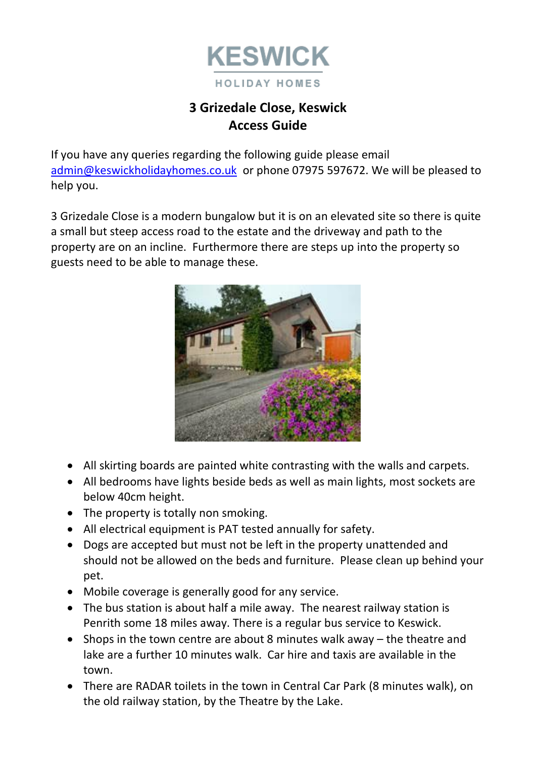

# **3 Grizedale Close, Keswick Access Guide**

If you have any queries regarding the following guide please email [admin@keswickholidayhomes.co.uk](mailto:admin@keswickholidayhomes.co.uk) or phone 07975 597672. We will be pleased to help you.

3 Grizedale Close is a modern bungalow but it is on an elevated site so there is quite a small but steep access road to the estate and the driveway and path to the property are on an incline. Furthermore there are steps up into the property so guests need to be able to manage these.



- All skirting boards are painted white contrasting with the walls and carpets.
- All bedrooms have lights beside beds as well as main lights, most sockets are below 40cm height.
- The property is totally non smoking.
- All electrical equipment is PAT tested annually for safety.
- Dogs are accepted but must not be left in the property unattended and should not be allowed on the beds and furniture. Please clean up behind your pet.
- Mobile coverage is generally good for any service.
- The bus station is about half a mile away. The nearest railway station is Penrith some 18 miles away. There is a regular bus service to Keswick.
- Shops in the town centre are about 8 minutes walk away the theatre and lake are a further 10 minutes walk. Car hire and taxis are available in the town.
- There are RADAR toilets in the town in Central Car Park (8 minutes walk), on the old railway station, by the Theatre by the Lake.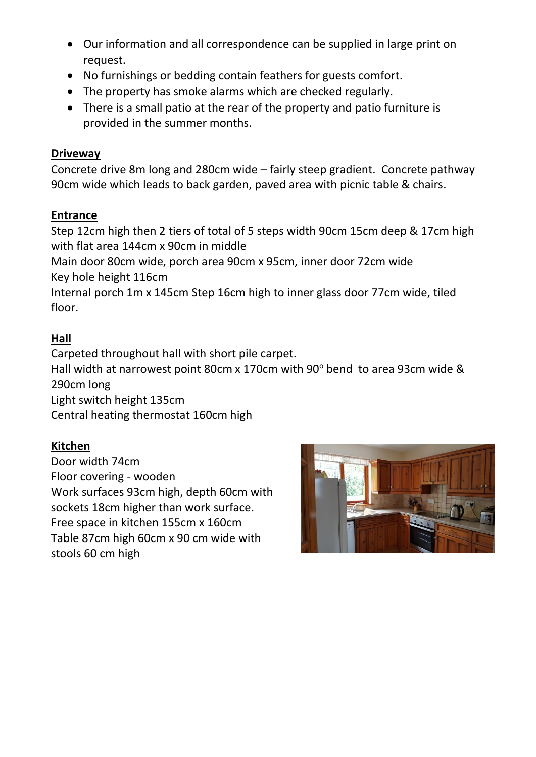- Our information and all correspondence can be supplied in large print on request.
- No furnishings or bedding contain feathers for guests comfort.
- The property has smoke alarms which are checked regularly.
- There is a small patio at the rear of the property and patio furniture is provided in the summer months.

#### **Driveway**

Concrete drive 8m long and 280cm wide – fairly steep gradient. Concrete pathway 90cm wide which leads to back garden, paved area with picnic table & chairs.

#### **Entrance**

Step 12cm high then 2 tiers of total of 5 steps width 90cm 15cm deep & 17cm high with flat area 144cm x 90cm in middle

Main door 80cm wide, porch area 90cm x 95cm, inner door 72cm wide Key hole height 116cm

Internal porch 1m x 145cm Step 16cm high to inner glass door 77cm wide, tiled floor.

## **Hall**

Carpeted throughout hall with short pile carpet. Hall width at narrowest point 80cm x 170cm with 90 $^{\circ}$  bend to area 93cm wide & 290cm long Light switch height 135cm

Central heating thermostat 160cm high

## **Kitchen**

Door width 74cm Floor covering - wooden Work surfaces 93cm high, depth 60cm with sockets 18cm higher than work surface. Free space in kitchen 155cm x 160cm Table 87cm high 60cm x 90 cm wide with stools 60 cm high